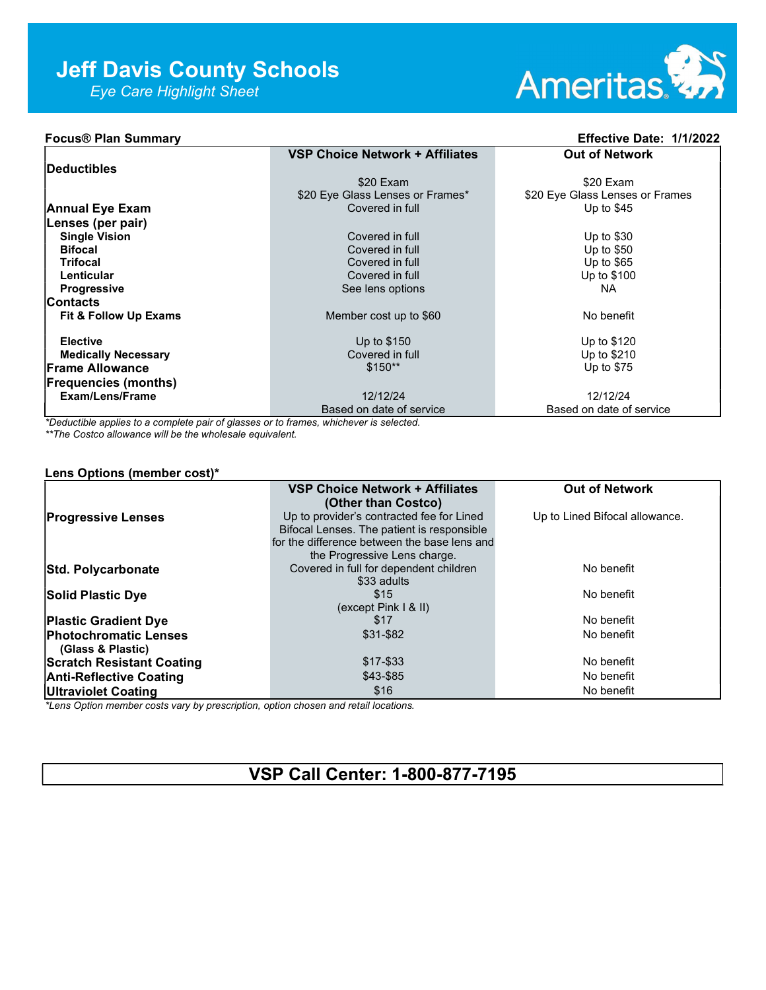Eye Care Highlight Sheet



## Focus® Plan Summary Effective Date: 1/1/2022

|                             | <b>VSP Choice Network + Affiliates</b> | <b>Out of Network</b>           |
|-----------------------------|----------------------------------------|---------------------------------|
| Deductibles                 |                                        |                                 |
|                             | \$20 Exam                              | \$20 Exam                       |
|                             | \$20 Eye Glass Lenses or Frames*       | \$20 Eye Glass Lenses or Frames |
| <b>Annual Eye Exam</b>      | Covered in full                        | Up to $$45$                     |
| Lenses (per pair)           |                                        |                                 |
| <b>Single Vision</b>        | Covered in full                        | Up to $$30$                     |
| <b>Bifocal</b>              | Covered in full                        | Up to $$50$                     |
| <b>Trifocal</b>             | Covered in full                        | Up to $$65$                     |
| Lenticular                  | Covered in full                        | Up to \$100                     |
| <b>Progressive</b>          | See lens options                       | NA.                             |
| <b>Contacts</b>             |                                        |                                 |
| Fit & Follow Up Exams       | Member cost up to \$60                 | No benefit                      |
|                             |                                        |                                 |
| <b>Elective</b>             | Up to \$150                            | Up to \$120                     |
| <b>Medically Necessary</b>  | Covered in full                        | Up to \$210                     |
| <b>Frame Allowance</b>      | $$150**$                               | Up to $$75$                     |
| <b>Frequencies (months)</b> |                                        |                                 |
| Exam/Lens/Frame             | 12/12/24                               | 12/12/24                        |
|                             | Based on date of service               | Based on date of service        |

\*Deductible applies to a complete pair of glasses or to frames, whichever is selected.

\*\*The Costco allowance will be the wholesale equivalent.

#### Lens Options (member cost)\*

|                                  | <b>VSP Choice Network + Affiliates</b>       | <b>Out of Network</b>          |
|----------------------------------|----------------------------------------------|--------------------------------|
|                                  | (Other than Costco)                          |                                |
| <b>Progressive Lenses</b>        | Up to provider's contracted fee for Lined    | Up to Lined Bifocal allowance. |
|                                  | Bifocal Lenses. The patient is responsible   |                                |
|                                  | for the difference between the base lens and |                                |
|                                  | the Progressive Lens charge.                 |                                |
| Std. Polycarbonate               | Covered in full for dependent children       | No benefit                     |
|                                  | \$33 adults                                  |                                |
| <b>Solid Plastic Dye</b>         | \$15                                         | No benefit                     |
|                                  | (except Pink I & II)                         |                                |
| <b>Plastic Gradient Dye</b>      | \$17                                         | No benefit                     |
| <b>Photochromatic Lenses</b>     | \$31-\$82                                    | No benefit                     |
| (Glass & Plastic)                |                                              |                                |
| <b>Scratch Resistant Coating</b> | $$17 - $33$                                  | No benefit                     |
| <b>Anti-Reflective Coating</b>   | \$43-\$85                                    | No benefit                     |
| <b>Ultraviolet Coating</b>       | \$16                                         | No benefit                     |

\*Lens Option member costs vary by prescription, option chosen and retail locations.

# VSP Call Center: 1-800-877-7195